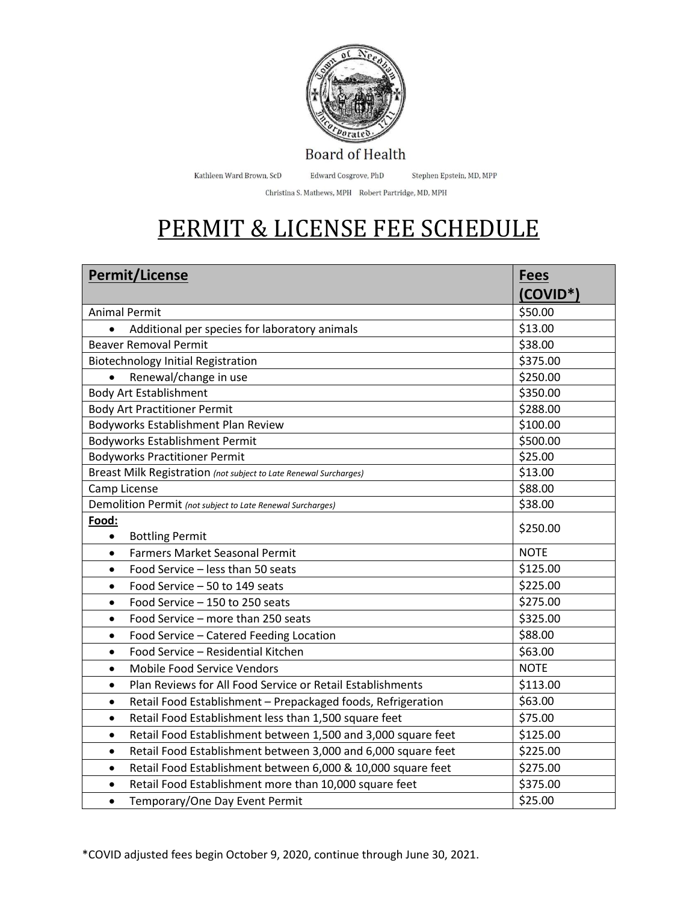

Kathleen Ward Brown, ScD Edward Cosgrove, PhD Stephen Epstein, MD, MPP

Christina S. Mathews, MPH Robert Partridge, MD, MPH

## PERMIT & LICENSE FEE SCHEDULE

| <b>Permit/License</b>                                                      | <b>Fees</b> |
|----------------------------------------------------------------------------|-------------|
|                                                                            | $(COVID^*)$ |
| <b>Animal Permit</b>                                                       | \$50.00     |
| Additional per species for laboratory animals                              | \$13.00     |
| <b>Beaver Removal Permit</b>                                               | \$38.00     |
| <b>Biotechnology Initial Registration</b>                                  | \$375.00    |
| Renewal/change in use<br>$\bullet$                                         | \$250.00    |
| <b>Body Art Establishment</b>                                              | \$350.00    |
| <b>Body Art Practitioner Permit</b>                                        | \$288.00    |
| Bodyworks Establishment Plan Review                                        | \$100.00    |
| <b>Bodyworks Establishment Permit</b>                                      | \$500.00    |
| <b>Bodyworks Practitioner Permit</b>                                       | \$25.00     |
| Breast Milk Registration (not subject to Late Renewal Surcharges)          | \$13.00     |
| Camp License                                                               | \$88.00     |
| Demolition Permit (not subject to Late Renewal Surcharges)                 | \$38.00     |
| Food:<br><b>Bottling Permit</b><br>$\bullet$                               | \$250.00    |
| <b>Farmers Market Seasonal Permit</b><br>$\bullet$                         | <b>NOTE</b> |
| Food Service - less than 50 seats<br>$\bullet$                             | \$125.00    |
| Food Service - 50 to 149 seats<br>$\bullet$                                | \$225.00    |
| Food Service - 150 to 250 seats<br>$\bullet$                               | \$275.00    |
| Food Service - more than 250 seats<br>$\bullet$                            | \$325.00    |
| Food Service - Catered Feeding Location<br>$\bullet$                       | \$88.00     |
| Food Service - Residential Kitchen                                         | \$63.00     |
| $\bullet$<br>Mobile Food Service Vendors<br>$\bullet$                      | <b>NOTE</b> |
|                                                                            |             |
| Plan Reviews for All Food Service or Retail Establishments<br>$\bullet$    | \$113.00    |
| Retail Food Establishment - Prepackaged foods, Refrigeration<br>$\bullet$  | \$63.00     |
| Retail Food Establishment less than 1,500 square feet<br>$\bullet$         | \$75.00     |
| Retail Food Establishment between 1,500 and 3,000 square feet<br>$\bullet$ | \$125.00    |
| Retail Food Establishment between 3,000 and 6,000 square feet<br>$\bullet$ | \$225.00    |
| Retail Food Establishment between 6,000 & 10,000 square feet<br>$\bullet$  | \$275.00    |
| Retail Food Establishment more than 10,000 square feet<br>$\bullet$        | \$375.00    |
| Temporary/One Day Event Permit<br>$\bullet$                                | \$25.00     |

\*COVID adjusted fees begin October 9, 2020, continue through June 30, 2021.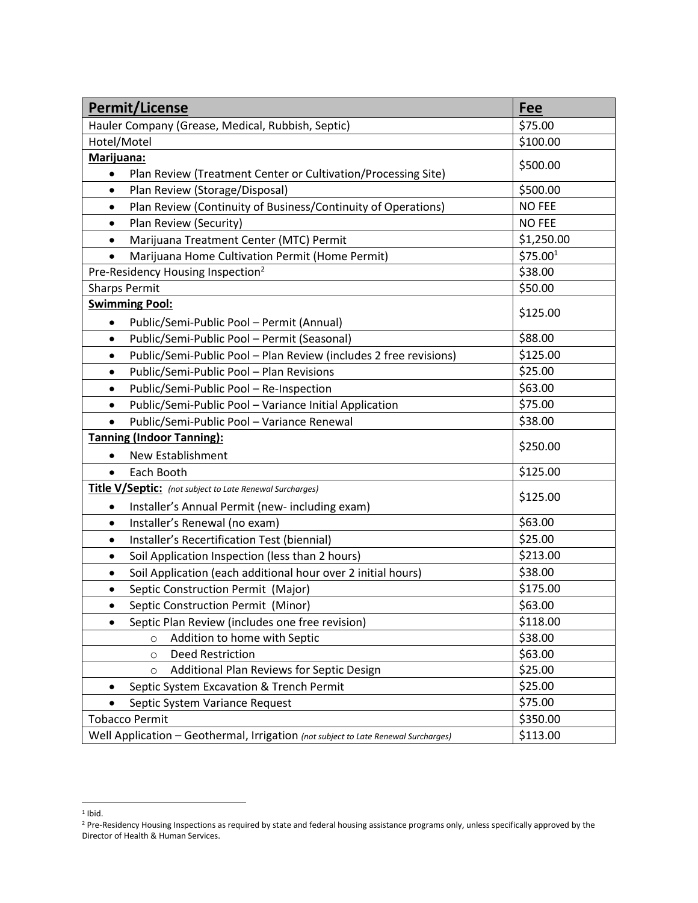| <b>Permit/License</b>                                                              | Fee                  |
|------------------------------------------------------------------------------------|----------------------|
| Hauler Company (Grease, Medical, Rubbish, Septic)                                  | \$75.00              |
| Hotel/Motel                                                                        | \$100.00             |
| Marijuana:                                                                         | \$500.00             |
| Plan Review (Treatment Center or Cultivation/Processing Site)<br>$\bullet$         |                      |
| Plan Review (Storage/Disposal)<br>$\bullet$                                        | \$500.00             |
| Plan Review (Continuity of Business/Continuity of Operations)<br>$\bullet$         | <b>NO FEE</b>        |
| Plan Review (Security)<br>$\bullet$                                                | <b>NO FEE</b>        |
| Marijuana Treatment Center (MTC) Permit<br>$\bullet$                               | \$1,250.00           |
| Marijuana Home Cultivation Permit (Home Permit)                                    | \$75.00 <sup>1</sup> |
| Pre-Residency Housing Inspection <sup>2</sup>                                      | \$38.00              |
| <b>Sharps Permit</b>                                                               | \$50.00              |
| <b>Swimming Pool:</b>                                                              | \$125.00             |
| Public/Semi-Public Pool - Permit (Annual)<br>$\bullet$                             |                      |
| Public/Semi-Public Pool - Permit (Seasonal)<br>$\bullet$                           | \$88.00              |
| Public/Semi-Public Pool - Plan Review (includes 2 free revisions)<br>$\bullet$     | \$125.00             |
| Public/Semi-Public Pool - Plan Revisions<br>$\bullet$                              | \$25.00              |
| Public/Semi-Public Pool - Re-Inspection<br>$\bullet$                               | \$63.00              |
| Public/Semi-Public Pool - Variance Initial Application<br>$\bullet$                | \$75.00              |
| Public/Semi-Public Pool - Variance Renewal<br>$\bullet$                            | \$38.00              |
| <b>Tanning (Indoor Tanning):</b>                                                   |                      |
| New Establishment<br>$\bullet$                                                     | \$250.00             |
| Each Booth<br>$\bullet$                                                            | \$125.00             |
| <b>Title V/Septic:</b> (not subject to Late Renewal Surcharges)                    |                      |
| Installer's Annual Permit (new- including exam)                                    | \$125.00             |
| Installer's Renewal (no exam)<br>$\bullet$                                         | \$63.00              |
| Installer's Recertification Test (biennial)<br>$\bullet$                           | \$25.00              |
| Soil Application Inspection (less than 2 hours)<br>$\bullet$                       | \$213.00             |
| Soil Application (each additional hour over 2 initial hours)<br>٠                  | \$38.00              |
| Septic Construction Permit (Major)<br>$\bullet$                                    | \$175.00             |
| Septic Construction Permit (Minor)                                                 | \$63.00              |
| Septic Plan Review (includes one free revision)                                    | \$118.00             |
| Addition to home with Septic<br>$\circ$                                            | \$38.00              |
| <b>Deed Restriction</b><br>$\circ$                                                 | \$63.00              |
| Additional Plan Reviews for Septic Design<br>$\circ$                               | \$25.00              |
| Septic System Excavation & Trench Permit                                           | \$25.00              |
| Septic System Variance Request<br>$\bullet$                                        | \$75.00              |
| <b>Tobacco Permit</b>                                                              | \$350.00             |
| Well Application - Geothermal, Irrigation (not subject to Late Renewal Surcharges) | \$113.00             |

 $1$  Ibid.

<sup>&</sup>lt;sup>2</sup> Pre-Residency Housing Inspections as required by state and federal housing assistance programs only, unless specifically approved by the Director of Health & Human Services.